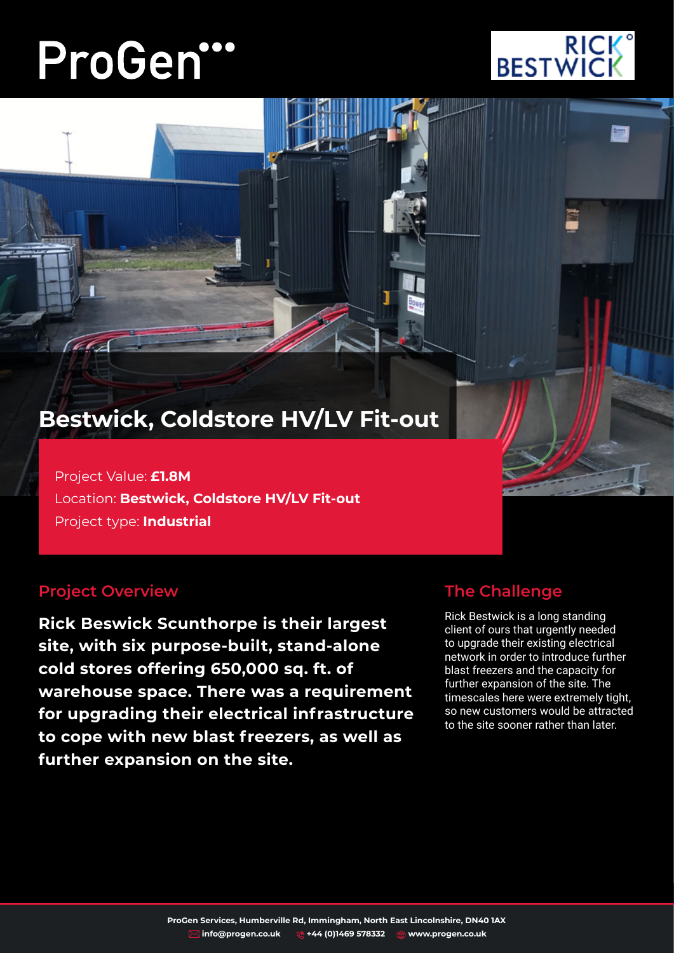# ProGen"



# **Bestwick, Coldstore HV/LV Fit-out**

Project Value: **£1.8M** Location: **Bestwick, Coldstore HV/LV Fit-out** Project type: **Industrial**

## **Project Overview**

(CC

**Rick Beswick Scunthorpe is their largest site, with six purpose-built, stand-alone cold stores offering 650,000 sq. ft. of warehouse space. There was a requirement for upgrading their electrical infrastructure to cope with new blast freezers, as well as further expansion on the site.**

# **The Challenge**

Rick Bestwick is a long standing client of ours that urgently needed to upgrade their existing electrical network in order to introduce further blast freezers and the capacity for further expansion of the site. The timescales here were extremely tight, so new customers would be attracted to the site sooner rather than later.